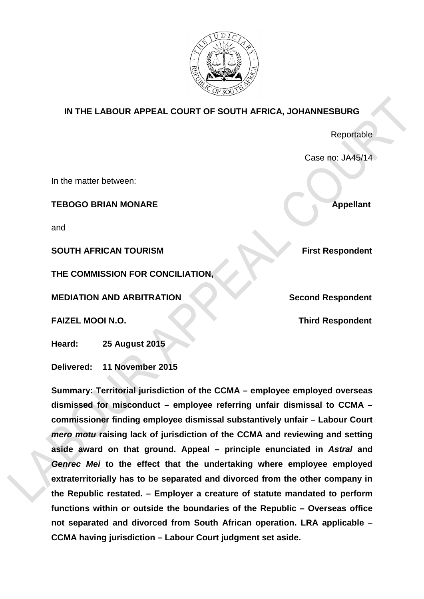

## **IN THE LABOUR APPEAL COURT OF SOUTH AFRICA, JOHANNESBURG**

Reportable

Case no: JA45/14

In the matter between:

**TEBOGO BRIAN MONARE Appellant** 

and

**SOUTH AFRICAN TOURISM First Respondent** 

**THE COMMISSION FOR CONCILIATION,**

**MEDIATION AND ARBITRATION Second Respondent**

**FAIZEL MOOI N.O. Third Respondent**

**Heard: 25 August 2015**

**Delivered: 11 November 2015**

**Summary: Territorial jurisdiction of the CCMA – employee employed overseas dismissed for misconduct – employee referring unfair dismissal to CCMA – commissioner finding employee dismissal substantively unfair – Labour Court**  *mero motu* **raising lack of jurisdiction of the CCMA and reviewing and setting aside award on that ground. Appeal – principle enunciated in** *Astral* **and**  *Genrec Mei* **to the effect that the undertaking where employee employed extraterritorially has to be separated and divorced from the other company in the Republic restated. – Employer a creature of statute mandated to perform functions within or outside the boundaries of the Republic – Overseas office not separated and divorced from South African operation. LRA applicable – CCMA having jurisdiction – Labour Court judgment set aside.**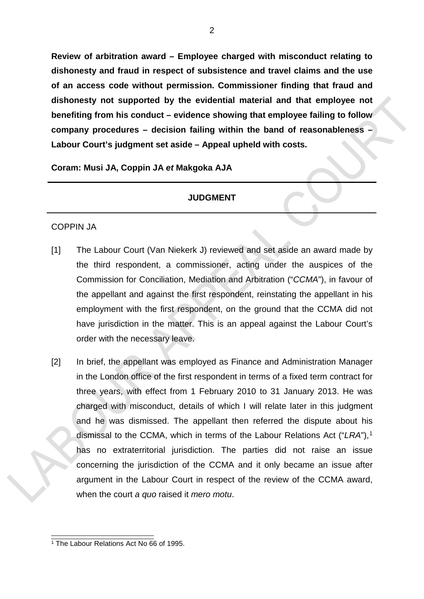**Review of arbitration award – Employee charged with misconduct relating to dishonesty and fraud in respect of subsistence and travel claims and the use of an access code without permission. Commissioner finding that fraud and dishonesty not supported by the evidential material and that employee not benefiting from his conduct – evidence showing that employee failing to follow company procedures – decision failing within the band of reasonableness – Labour Court's judgment set aside – Appeal upheld with costs.**

**Coram: Musi JA, Coppin JA** *et* **Makgoka AJA**

## **JUDGMENT**

## COPPIN JA

- [1] The Labour Court (Van Niekerk J) reviewed and set aside an award made by the third respondent, a commissioner, acting under the auspices of the Commission for Conciliation, Mediation and Arbitration ("*CCMA*"), in favour of the appellant and against the first respondent, reinstating the appellant in his employment with the first respondent, on the ground that the CCMA did not have jurisdiction in the matter. This is an appeal against the Labour Court's order with the necessary leave.
- [2] In brief, the appellant was employed as Finance and Administration Manager in the London office of the first respondent in terms of a fixed term contract for three years, with effect from 1 February 2010 to 31 January 2013. He was charged with misconduct, details of which I will relate later in this judgment and he was dismissed. The appellant then referred the dispute about his dismissal to the CCMA, which in terms of the Labour Relations Act ("LRA"),<sup>[1](#page-1-0)</sup> has no extraterritorial jurisdiction. The parties did not raise an issue concerning the jurisdiction of the CCMA and it only became an issue after argument in the Labour Court in respect of the review of the CCMA award, when the court *a quo* raised it *mero motu*.

<span id="page-1-0"></span> <sup>1</sup> The Labour Relations Act No 66 of 1995.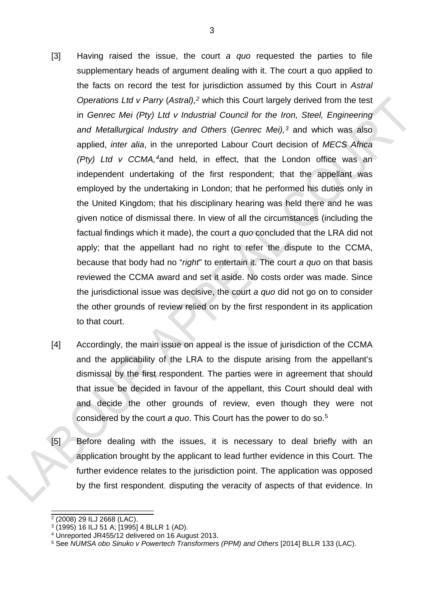- [3] Having raised the issue, the court *a quo* requested the parties to file supplementary heads of argument dealing with it. The court a quo applied to the facts on record the test for jurisdiction assumed by this Court in *Astral Operations Ltd v Parry* (*Astral),[2](#page-2-0)* which this Court largely derived from the test in *Genrec Mei (Pty) Ltd v Industrial Council for the Iron, Steel, Engineering and Metallurgical Industry and Others* (*Genrec Mei),[3](#page-2-1)* and which was also applied, *inter alia*, in the unreported Labour Court decision of *MECS Africa (Pty) Ltd v CCMA,[4](#page-2-2)*and held, in effect, that the London office was an independent undertaking of the first respondent; that the appellant was employed by the undertaking in London; that he performed his duties only in the United Kingdom; that his disciplinary hearing was held there and he was given notice of dismissal there. In view of all the circumstances (including the factual findings which it made), the court *a quo* concluded that the LRA did not apply; that the appellant had no right to refer the dispute to the CCMA, because that body had no "*right*" to entertain it. The court *a quo* on that basis reviewed the CCMA award and set it aside. No costs order was made. Since the jurisdictional issue was decisive, the court *a quo* did not go on to consider the other grounds of review relied on by the first respondent in its application to that court.
- [4] Accordingly, the main issue on appeal is the issue of jurisdiction of the CCMA and the applicability of the LRA to the dispute arising from the appellant's dismissal by the first respondent. The parties were in agreement that should that issue be decided in favour of the appellant, this Court should deal with and decide the other grounds of review, even though they were not considered by the court *a quo*. This Court has the power to do so.[5](#page-2-3)
- [5] Before dealing with the issues, it is necessary to deal briefly with an application brought by the applicant to lead further evidence in this Court. The further evidence relates to the jurisdiction point. The application was opposed by the first respondent, disputing the veracity of aspects of that evidence. In

<span id="page-2-0"></span> $2(2008)$  29 ILJ 2668 (LAC).

<span id="page-2-1"></span> $3(1995)$  16 ILJ 51 A;  $(1995)$  4 BLLR 1 (AD).

<span id="page-2-2"></span><sup>4</sup> Unreported JR455/12 delivered on 16 August 2013.

<span id="page-2-3"></span><sup>5</sup> See *NUMSA obo Sinuko v Powertech Transformers (PPM) and Others* [2014] BLLR 133 (LAC).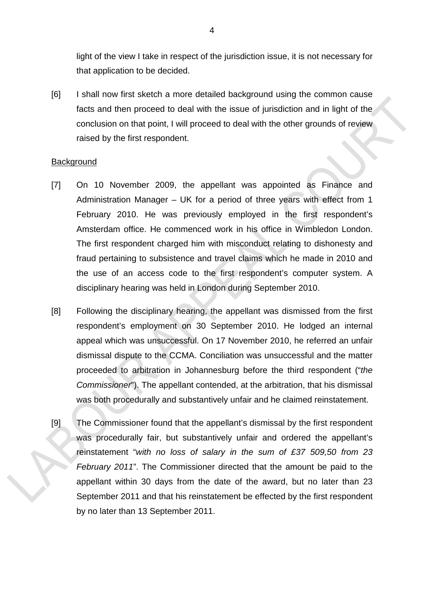light of the view I take in respect of the jurisdiction issue, it is not necessary for that application to be decided.

[6] I shall now first sketch a more detailed background using the common cause facts and then proceed to deal with the issue of jurisdiction and in light of the conclusion on that point, I will proceed to deal with the other grounds of review raised by the first respondent.

### **Background**

- [7] On 10 November 2009, the appellant was appointed as Finance and Administration Manager – UK for a period of three years with effect from 1 February 2010. He was previously employed in the first respondent's Amsterdam office. He commenced work in his office in Wimbledon London. The first respondent charged him with misconduct relating to dishonesty and fraud pertaining to subsistence and travel claims which he made in 2010 and the use of an access code to the first respondent's computer system. A disciplinary hearing was held in London during September 2010.
- [8] Following the disciplinary hearing, the appellant was dismissed from the first respondent's employment on 30 September 2010. He lodged an internal appeal which was unsuccessful. On 17 November 2010, he referred an unfair dismissal dispute to the CCMA. Conciliation was unsuccessful and the matter proceeded to arbitration in Johannesburg before the third respondent ("*the Commissioner*"). The appellant contended, at the arbitration, that his dismissal was both procedurally and substantively unfair and he claimed reinstatement.
- [9] The Commissioner found that the appellant's dismissal by the first respondent was procedurally fair, but substantively unfair and ordered the appellant's reinstatement "*with no loss of salary in the sum of £37 509,50 from 23 February 2011*". The Commissioner directed that the amount be paid to the appellant within 30 days from the date of the award, but no later than 23 September 2011 and that his reinstatement be effected by the first respondent by no later than 13 September 2011.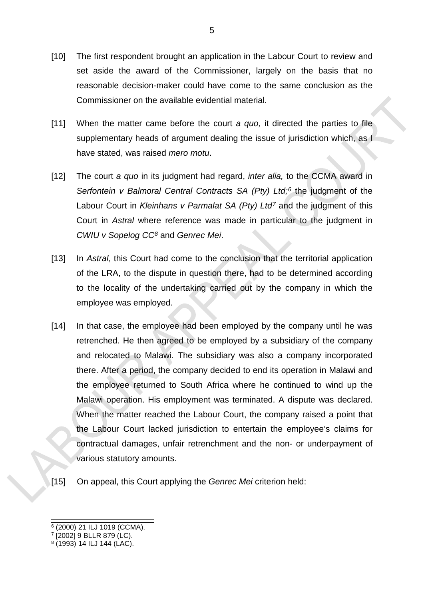- [10] The first respondent brought an application in the Labour Court to review and set aside the award of the Commissioner, largely on the basis that no reasonable decision-maker could have come to the same conclusion as the Commissioner on the available evidential material.
- [11] When the matter came before the court *a quo,* it directed the parties to file supplementary heads of argument dealing the issue of jurisdiction which, as I have stated, was raised *mero motu*.
- [12] The court *a quo* in its judgment had regard, *inter alia,* to the CCMA award in *Serfontein v Balmoral Central Contracts SA (Pty) Ltd;[6](#page-4-0)* the judgment of the Labour Court in *Kleinhans v Parmalat SA (Pty) Ltd[7](#page-4-1)* and the judgment of this Court in *Astral* where reference was made in particular to the judgment in *CWIU v Sopelog CC[8](#page-4-2)* and *Genrec Mei*.
- [13] In *Astral*, this Court had come to the conclusion that the territorial application of the LRA, to the dispute in question there, had to be determined according to the locality of the undertaking carried out by the company in which the employee was employed.
- [14] In that case, the employee had been employed by the company until he was retrenched. He then agreed to be employed by a subsidiary of the company and relocated to Malawi. The subsidiary was also a company incorporated there. After a period, the company decided to end its operation in Malawi and the employee returned to South Africa where he continued to wind up the Malawi operation. His employment was terminated. A dispute was declared. When the matter reached the Labour Court, the company raised a point that the Labour Court lacked jurisdiction to entertain the employee's claims for contractual damages, unfair retrenchment and the non- or underpayment of various statutory amounts.
- [15] On appeal, this Court applying the *Genrec Mei* criterion held:

<span id="page-4-0"></span> $6(2000)$  21 ILJ 1019 (CCMA).

<span id="page-4-1"></span><sup>7</sup> [2002] 9 BLLR 879 (LC).

<span id="page-4-2"></span> $8(1993)$  14 ILJ 144 (LAC).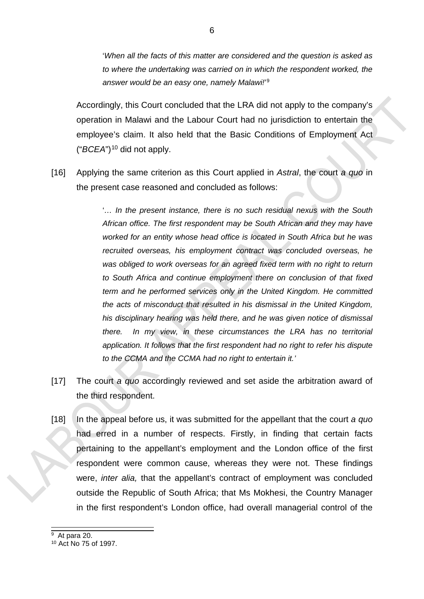'*When all the facts of this matter are considered and the question is asked as to where the undertaking was carried on in which the respondent worked, the answer would be an easy one, namely Malawi!*' [9](#page-5-0)

Accordingly, this Court concluded that the LRA did not apply to the company's operation in Malawi and the Labour Court had no jurisdiction to entertain the employee's claim. It also held that the Basic Conditions of Employment Act ("*BCEA*")<sup>[10](#page-5-1)</sup> did not apply.

[16] Applying the same criterion as this Court applied in *Astral*, the court *a quo* in the present case reasoned and concluded as follows:

> '... In the present instance, there is no such residual nexus with the South *African office. The first respondent may be South African and they may have worked for an entity whose head office is located in South Africa but he was recruited overseas, his employment contract was concluded overseas, he*  was obliged to work overseas for an agreed fixed term with no right to return *to South Africa and continue employment there on conclusion of that fixed term and he performed services only in the United Kingdom. He committed the acts of misconduct that resulted in his dismissal in the United Kingdom, his disciplinary hearing was held there, and he was given notice of dismissal there. In my view, in these circumstances the LRA has no territorial application. It follows that the first respondent had no right to refer his dispute to the CCMA and the CCMA had no right to entertain it.'*

- [17] The court *a quo* accordingly reviewed and set aside the arbitration award of the third respondent.
- [18] In the appeal before us, it was submitted for the appellant that the court *a quo* had erred in a number of respects. Firstly, in finding that certain facts pertaining to the appellant's employment and the London office of the first respondent were common cause, whereas they were not. These findings were, *inter alia,* that the appellant's contract of employment was concluded outside the Republic of South Africa; that Ms Mokhesi, the Country Manager in the first respondent's London office, had overall managerial control of the

6

<span id="page-5-0"></span> <sup>9</sup> At para 20.

<span id="page-5-1"></span><sup>10</sup> Act No 75 of 1997.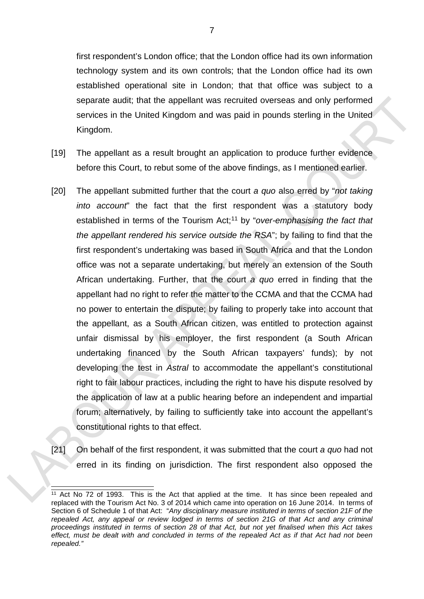first respondent's London office; that the London office had its own information technology system and its own controls; that the London office had its own established operational site in London; that that office was subject to a separate audit; that the appellant was recruited overseas and only performed services in the United Kingdom and was paid in pounds sterling in the United Kingdom.

- [19] The appellant as a result brought an application to produce further evidence before this Court, to rebut some of the above findings, as I mentioned earlier.
- [20] The appellant submitted further that the court *a quo* also erred by "*not taking into account*" the fact that the first respondent was a statutory body established in terms of the Tourism Act;<sup>[11](#page-6-0)</sup> by "over-emphasising the fact that *the appellant rendered his service outside the RSA*"; by failing to find that the first respondent's undertaking was based in South Africa and that the London office was not a separate undertaking, but merely an extension of the South African undertaking. Further, that the court *a quo* erred in finding that the appellant had no right to refer the matter to the CCMA and that the CCMA had no power to entertain the dispute; by failing to properly take into account that the appellant, as a South African citizen, was entitled to protection against unfair dismissal by his employer, the first respondent (a South African undertaking financed by the South African taxpayers' funds); by not developing the test in *Astral* to accommodate the appellant's constitutional right to fair labour practices, including the right to have his dispute resolved by the application of law at a public hearing before an independent and impartial forum; alternatively, by failing to sufficiently take into account the appellant's constitutional rights to that effect.
- [21] On behalf of the first respondent, it was submitted that the court *a quo* had not erred in its finding on jurisdiction. The first respondent also opposed the

<span id="page-6-0"></span> $11$  Act No 72 of 1993. This is the Act that applied at the time. It has since been repealed and replaced with the Tourism Act No. 3 of 2014 which came into operation on 16 June 2014. In terms of Section 6 of Schedule 1 of that Act: "*Any disciplinary measure instituted in terms of section 21F of the repealed Act, any appeal or review lodged in terms of section 21G of that Act and any criminal proceedings instituted in terms of section 28 of that Act, but not yet finalised when this Act takes effect, must be dealt with and concluded in terms of the repealed Act as if that Act had not been repealed."*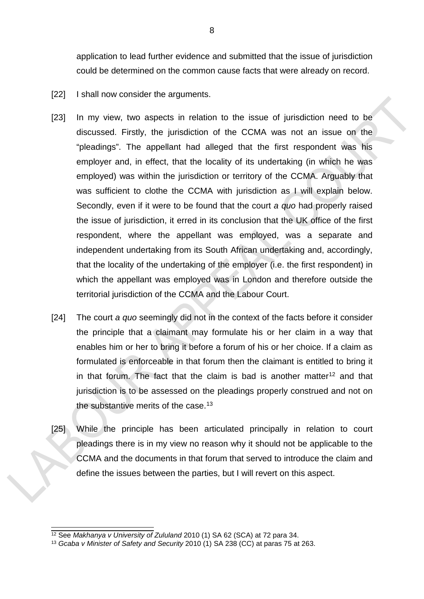application to lead further evidence and submitted that the issue of jurisdiction could be determined on the common cause facts that were already on record.

- [22] I shall now consider the arguments.
- [23] In my view, two aspects in relation to the issue of jurisdiction need to be discussed. Firstly, the jurisdiction of the CCMA was not an issue on the "pleadings". The appellant had alleged that the first respondent was his employer and, in effect, that the locality of its undertaking (in which he was employed) was within the jurisdiction or territory of the CCMA. Arguably that was sufficient to clothe the CCMA with jurisdiction as I will explain below. Secondly, even if it were to be found that the court *a quo* had properly raised the issue of jurisdiction, it erred in its conclusion that the UK office of the first respondent, where the appellant was employed, was a separate and independent undertaking from its South African undertaking and, accordingly, that the locality of the undertaking of the employer (i.e. the first respondent) in which the appellant was employed was in London and therefore outside the territorial jurisdiction of the CCMA and the Labour Court.
- [24] The court *a quo* seemingly did not in the context of the facts before it consider the principle that a claimant may formulate his or her claim in a way that enables him or her to bring it before a forum of his or her choice. If a claim as formulated is enforceable in that forum then the claimant is entitled to bring it in that forum. The fact that the claim is bad is another matter<sup>[12](#page-7-0)</sup> and that jurisdiction is to be assessed on the pleadings properly construed and not on the substantive merits of the case.<sup>13</sup>
- [25] While the principle has been articulated principally in relation to court pleadings there is in my view no reason why it should not be applicable to the CCMA and the documents in that forum that served to introduce the claim and define the issues between the parties, but I will revert on this aspect.

<span id="page-7-0"></span> <sup>12</sup> See *Makhanya v University of Zululand* 2010 (1) SA 62 (SCA) at 72 para 34.

<span id="page-7-1"></span><sup>13</sup> *Gcaba v Minister of Safety and Security* 2010 (1) SA 238 (CC) at paras 75 at 263.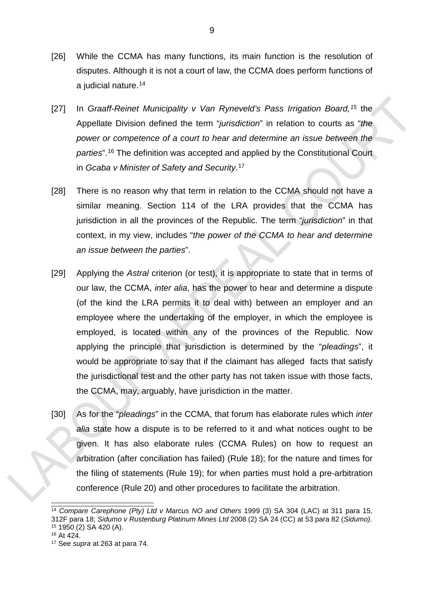- [26] While the CCMA has many functions, its main function is the resolution of disputes. Although it is not a court of law, the CCMA does perform functions of a judicial nature.[14](#page-8-0)
- [27] In *Graaff-Reinet Municipality v Van Ryneveld's Pass Irrigation Board,[15](#page-8-1)* the Appellate Division defined the term "*jurisdiction*" in relation to courts as "*the power or competence of a court to hear and determine an issue between the parties*".[16](#page-8-2) The definition was accepted and applied by the Constitutional Court in *Gcaba v Minister of Safety and Security*. [17](#page-8-3)
- [28] There is no reason why that term in relation to the CCMA should not have a similar meaning. Section 114 of the LRA provides that the CCMA has jurisdiction in all the provinces of the Republic. The term "*jurisdiction*" in that context, in my view, includes "*the power of the CCMA to hear and determine an issue between the parties*".
- [29] Applying the *Astral* criterion (or test), it is appropriate to state that in terms of our law, the CCMA, *inter alia*, has the power to hear and determine a dispute (of the kind the LRA permits it to deal with) between an employer and an employee where the undertaking of the employer, in which the employee is employed, is located within any of the provinces of the Republic. Now applying the principle that jurisdiction is determined by the "*pleadings*", it would be appropriate to say that if the claimant has alleged facts that satisfy the jurisdictional test and the other party has not taken issue with those facts, the CCMA, may, arguably, have jurisdiction in the matter.
- [30] As for the "*pleadings*" in the CCMA, that forum has elaborate rules which *inter alia* state how a dispute is to be referred to it and what notices ought to be given. It has also elaborate rules (CCMA Rules) on how to request an arbitration (after conciliation has failed) (Rule 18); for the nature and times for the filing of statements (Rule 19); for when parties must hold a pre-arbitration conference (Rule 20) and other procedures to facilitate the arbitration.

<span id="page-8-0"></span> <sup>14</sup> *Compare Carephone (Pty) Ltd v Marcus NO and Others* 1999 (3) SA 304 (LAC) at 311 para 15, 312F para 18; *Sidumo v Rustenburg Platinum Mines Ltd* 2008 (2) SA 24 (CC) at 53 para 82 (*Sidumo)*. <sup>15</sup> 1950 (2) SA 420 (A).

<span id="page-8-2"></span><span id="page-8-1"></span><sup>16</sup> At 424.

<span id="page-8-3"></span><sup>17</sup> See *supra* at 263 at para 74.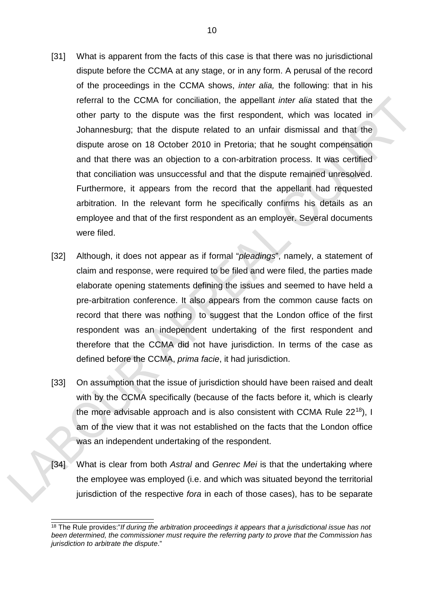- [31] What is apparent from the facts of this case is that there was no jurisdictional dispute before the CCMA at any stage, or in any form. A perusal of the record of the proceedings in the CCMA shows, *inter alia,* the following: that in his referral to the CCMA for conciliation, the appellant *inter alia* stated that the other party to the dispute was the first respondent, which was located in Johannesburg; that the dispute related to an unfair dismissal and that the dispute arose on 18 October 2010 in Pretoria; that he sought compensation and that there was an objection to a con-arbitration process. It was certified that conciliation was unsuccessful and that the dispute remained unresolved. Furthermore, it appears from the record that the appellant had requested arbitration. In the relevant form he specifically confirms his details as an employee and that of the first respondent as an employer. Several documents were filed.
- [32] Although, it does not appear as if formal "*pleadings*", namely, a statement of claim and response, were required to be filed and were filed, the parties made elaborate opening statements defining the issues and seemed to have held a pre-arbitration conference. It also appears from the common cause facts on record that there was nothing to suggest that the London office of the first respondent was an independent undertaking of the first respondent and therefore that the CCMA did not have jurisdiction. In terms of the case as defined before the CCMA, *prima facie*, it had jurisdiction.
- [33] On assumption that the issue of jurisdiction should have been raised and dealt with by the CCMA specifically (because of the facts before it, which is clearly the more advisable approach and is also consistent with CCMA Rule  $22^{18}$ ), I am of the view that it was not established on the facts that the London office was an independent undertaking of the respondent.
- [34] What is clear from both *Astral* and *Genrec Mei* is that the undertaking where the employee was employed (i.e. and which was situated beyond the territorial jurisdiction of the respective *fora* in each of those cases), has to be separate

<span id="page-9-0"></span> <sup>18</sup> The Rule provides:"*If during the arbitration proceedings it appears that a jurisdictional issue has not been determined, the commissioner must require the referring party to prove that the Commission has jurisdiction to arbitrate the dispute*."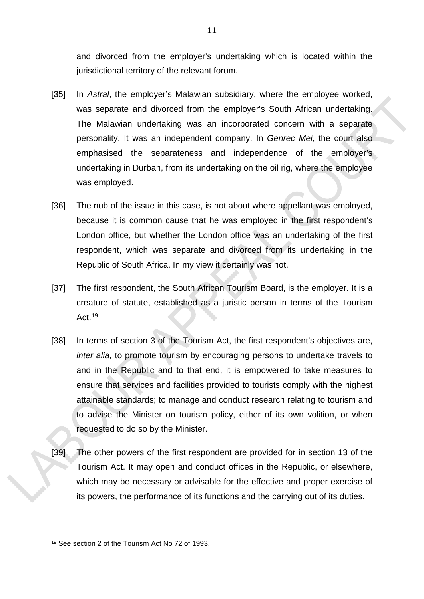and divorced from the employer's undertaking which is located within the jurisdictional territory of the relevant forum.

- [35] In *Astral*, the employer's Malawian subsidiary, where the employee worked, was separate and divorced from the employer's South African undertaking. The Malawian undertaking was an incorporated concern with a separate personality. It was an independent company. In *Genrec Mei*, the court also emphasised the separateness and independence of the employer's undertaking in Durban, from its undertaking on the oil rig, where the employee was employed.
- [36] The nub of the issue in this case, is not about where appellant was employed, because it is common cause that he was employed in the first respondent's London office, but whether the London office was an undertaking of the first respondent, which was separate and divorced from its undertaking in the Republic of South Africa. In my view it certainly was not.
- [37] The first respondent, the South African Tourism Board, is the employer. It is a creature of statute, established as a juristic person in terms of the Tourism Act.[19](#page-10-0)
- [38] In terms of section 3 of the Tourism Act, the first respondent's objectives are, *inter alia,* to promote tourism by encouraging persons to undertake travels to and in the Republic and to that end, it is empowered to take measures to ensure that services and facilities provided to tourists comply with the highest attainable standards; to manage and conduct research relating to tourism and to advise the Minister on tourism policy, either of its own volition, or when requested to do so by the Minister.
- [39] The other powers of the first respondent are provided for in section 13 of the Tourism Act. It may open and conduct offices in the Republic, or elsewhere, which may be necessary or advisable for the effective and proper exercise of its powers, the performance of its functions and the carrying out of its duties.

<span id="page-10-0"></span><sup>&</sup>lt;sup>19</sup> See section 2 of the Tourism Act No 72 of 1993.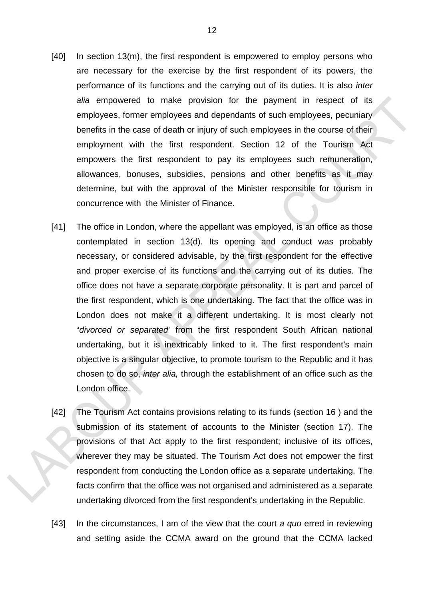- [40] In section 13(m), the first respondent is empowered to employ persons who are necessary for the exercise by the first respondent of its powers, the performance of its functions and the carrying out of its duties. It is also *inter alia* empowered to make provision for the payment in respect of its employees, former employees and dependants of such employees, pecuniary benefits in the case of death or injury of such employees in the course of their employment with the first respondent. Section 12 of the Tourism Act empowers the first respondent to pay its employees such remuneration, allowances, bonuses, subsidies, pensions and other benefits as it may determine, but with the approval of the Minister responsible for tourism in concurrence with the Minister of Finance.
- [41] The office in London, where the appellant was employed, is an office as those contemplated in section 13(d). Its opening and conduct was probably necessary, or considered advisable, by the first respondent for the effective and proper exercise of its functions and the carrying out of its duties. The office does not have a separate corporate personality. It is part and parcel of the first respondent, which is one undertaking. The fact that the office was in London does not make it a different undertaking. It is most clearly not "*divorced or separated*' from the first respondent South African national undertaking, but it is inextricably linked to it. The first respondent's main objective is a singular objective, to promote tourism to the Republic and it has chosen to do so, *inter alia,* through the establishment of an office such as the London office.
- [42] The Tourism Act contains provisions relating to its funds (section 16 ) and the submission of its statement of accounts to the Minister (section 17). The provisions of that Act apply to the first respondent; inclusive of its offices, wherever they may be situated. The Tourism Act does not empower the first respondent from conducting the London office as a separate undertaking. The facts confirm that the office was not organised and administered as a separate undertaking divorced from the first respondent's undertaking in the Republic.
- [43] In the circumstances, I am of the view that the court *a quo* erred in reviewing and setting aside the CCMA award on the ground that the CCMA lacked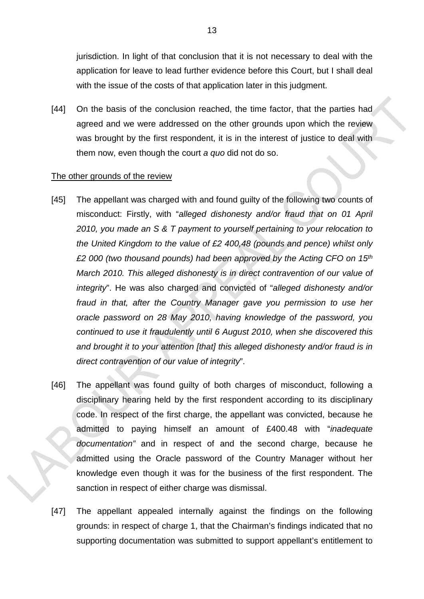jurisdiction. In light of that conclusion that it is not necessary to deal with the application for leave to lead further evidence before this Court, but I shall deal with the issue of the costs of that application later in this judgment.

[44] On the basis of the conclusion reached, the time factor, that the parties had agreed and we were addressed on the other grounds upon which the review was brought by the first respondent, it is in the interest of justice to deal with them now, even though the court *a quo* did not do so.

### The other grounds of the review

- [45] The appellant was charged with and found guilty of the following two counts of misconduct: Firstly, with "*alleged dishonesty and/or fraud that on 01 April 2010, you made an S & T payment to yourself pertaining to your relocation to the United Kingdom to the value of £2 400,48 (pounds and pence) whilst only £2 000 (two thousand pounds) had been approved by the Acting CFO on 15th March 2010. This alleged dishonesty is in direct contravention of our value of integrity*". He was also charged and convicted of "*alleged dishonesty and/or fraud in that, after the Country Manager gave you permission to use her oracle password on 28 May 2010, having knowledge of the password, you continued to use it fraudulently until 6 August 2010, when she discovered this and brought it to your attention [that] this alleged dishonesty and/or fraud is in direct contravention of our value of integrity*".
- [46] The appellant was found guilty of both charges of misconduct, following a disciplinary hearing held by the first respondent according to its disciplinary code. In respect of the first charge, the appellant was convicted, because he admitted to paying himself an amount of £400.48 with "*inadequate documentation"* and in respect of and the second charge, because he admitted using the Oracle password of the Country Manager without her knowledge even though it was for the business of the first respondent. The sanction in respect of either charge was dismissal.
- [47] The appellant appealed internally against the findings on the following grounds: in respect of charge 1, that the Chairman's findings indicated that no supporting documentation was submitted to support appellant's entitlement to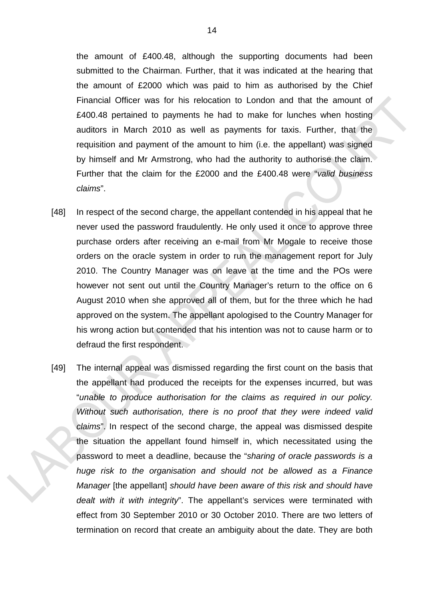the amount of £400.48, although the supporting documents had been submitted to the Chairman. Further, that it was indicated at the hearing that the amount of £2000 which was paid to him as authorised by the Chief Financial Officer was for his relocation to London and that the amount of £400.48 pertained to payments he had to make for lunches when hosting auditors in March 2010 as well as payments for taxis. Further, that the requisition and payment of the amount to him (i.e. the appellant) was signed by himself and Mr Armstrong, who had the authority to authorise the claim. Further that the claim for the £2000 and the £400.48 were "*valid business claims*".

- [48] In respect of the second charge, the appellant contended in his appeal that he never used the password fraudulently. He only used it once to approve three purchase orders after receiving an e-mail from Mr Mogale to receive those orders on the oracle system in order to run the management report for July 2010. The Country Manager was on leave at the time and the POs were however not sent out until the Country Manager's return to the office on 6 August 2010 when she approved all of them, but for the three which he had approved on the system. The appellant apologised to the Country Manager for his wrong action but contended that his intention was not to cause harm or to defraud the first respondent.
- [49] The internal appeal was dismissed regarding the first count on the basis that the appellant had produced the receipts for the expenses incurred, but was "*unable to produce authorisation for the claims as required in our policy. Without such authorisation, there is no proof that they were indeed valid claims*". In respect of the second charge, the appeal was dismissed despite the situation the appellant found himself in, which necessitated using the password to meet a deadline, because the "*sharing of oracle passwords is a huge risk to the organisation and should not be allowed as a Finance Manager* [the appellant] *should have been aware of this risk and should have dealt with it with integrity*". The appellant's services were terminated with effect from 30 September 2010 or 30 October 2010. There are two letters of termination on record that create an ambiguity about the date. They are both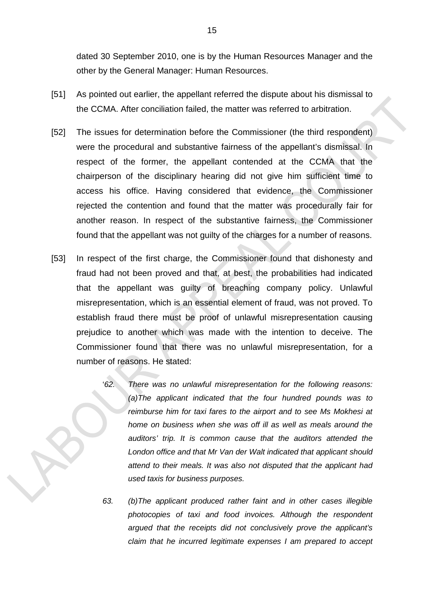dated 30 September 2010, one is by the Human Resources Manager and the other by the General Manager: Human Resources.

- [51] As pointed out earlier, the appellant referred the dispute about his dismissal to the CCMA. After conciliation failed, the matter was referred to arbitration.
- [52] The issues for determination before the Commissioner (the third respondent) were the procedural and substantive fairness of the appellant's dismissal. In respect of the former, the appellant contended at the CCMA that the chairperson of the disciplinary hearing did not give him sufficient time to access his office. Having considered that evidence, the Commissioner rejected the contention and found that the matter was procedurally fair for another reason. In respect of the substantive fairness, the Commissioner found that the appellant was not guilty of the charges for a number of reasons.
- [53] In respect of the first charge, the Commissioner found that dishonesty and fraud had not been proved and that, at best, the probabilities had indicated that the appellant was guilty of breaching company policy. Unlawful misrepresentation, which is an essential element of fraud, was not proved. To establish fraud there must be proof of unlawful misrepresentation causing prejudice to another which was made with the intention to deceive. The Commissioner found that there was no unlawful misrepresentation, for a number of reasons. He stated:
	- '*62. There was no unlawful misrepresentation for the following reasons: (a)The applicant indicated that the four hundred pounds was to reimburse him for taxi fares to the airport and to see Ms Mokhesi at home on business when she was off ill as well as meals around the auditors' trip. It is common cause that the auditors attended the London office and that Mr Van der Walt indicated that applicant should attend to their meals. It was also not disputed that the applicant had used taxis for business purposes.*
	- *63. (b)The applicant produced rather faint and in other cases illegible photocopies of taxi and food invoices. Although the respondent argued that the receipts did not conclusively prove the applicant's claim that he incurred legitimate expenses I am prepared to accept*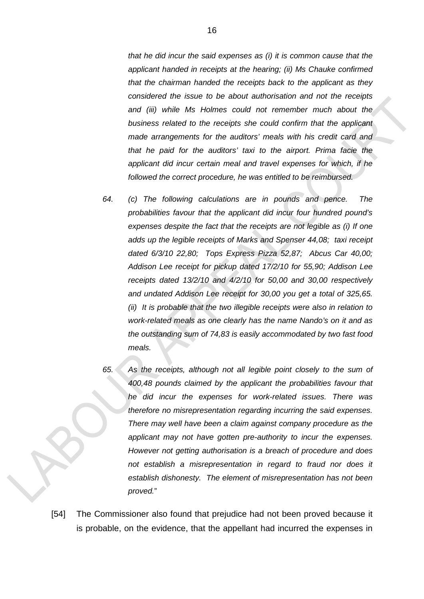*that he did incur the said expenses as (i) it is common cause that the applicant handed in receipts at the hearing; (ii) Ms Chauke confirmed that the chairman handed the receipts back to the applicant as they considered the issue to be about authorisation and not the receipts and (iii) while Ms Holmes could not remember much about the business related to the receipts she could confirm that the applicant made arrangements for the auditors' meals with his credit card and that he paid for the auditors' taxi to the airport. Prima facie the applicant did incur certain meal and travel expenses for which, if he followed the correct procedure, he was entitled to be reimbursed.*

- *64. (c) The following calculations are in pounds and pence. The probabilities favour that the applicant did incur four hundred pound's expenses despite the fact that the receipts are not legible as (i) If one adds up the legible receipts of Marks and Spenser 44,08; taxi receipt dated 6/3/10 22,80; Tops Express Pizza 52,87; Abcus Car 40,00; Addison Lee receipt for pickup dated 17/2/10 for 55,90; Addison Lee receipts dated 13/2/10 and 4/2/10 for 50,00 and 30,00 respectively and undated Addison Lee receipt for 30,00 you get a total of 325,65. (ii) It is probable that the two illegible receipts were also in relation to work-related meals as one clearly has the name Nando's on it and as the outstanding sum of 74,83 is easily accommodated by two fast food meals.*
- 

*65. As the receipts, although not all legible point closely to the sum of 400,48 pounds claimed by the applicant the probabilities favour that he did incur the expenses for work-related issues. There was therefore no misrepresentation regarding incurring the said expenses. There may well have been a claim against company procedure as the applicant may not have gotten pre-authority to incur the expenses. However not getting authorisation is a breach of procedure and does not establish a misrepresentation in regard to fraud nor does it establish dishonesty. The element of misrepresentation has not been proved.*"

[54] The Commissioner also found that prejudice had not been proved because it is probable, on the evidence, that the appellant had incurred the expenses in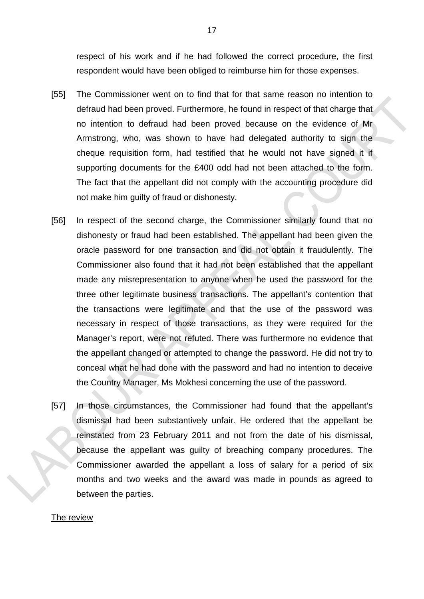respect of his work and if he had followed the correct procedure, the first respondent would have been obliged to reimburse him for those expenses.

- [55] The Commissioner went on to find that for that same reason no intention to defraud had been proved. Furthermore, he found in respect of that charge that no intention to defraud had been proved because on the evidence of Mr Armstrong, who, was shown to have had delegated authority to sign the cheque requisition form, had testified that he would not have signed it if supporting documents for the £400 odd had not been attached to the form. The fact that the appellant did not comply with the accounting procedure did not make him guilty of fraud or dishonesty.
- [56] In respect of the second charge, the Commissioner similarly found that no dishonesty or fraud had been established. The appellant had been given the oracle password for one transaction and did not obtain it fraudulently. The Commissioner also found that it had not been established that the appellant made any misrepresentation to anyone when he used the password for the three other legitimate business transactions. The appellant's contention that the transactions were legitimate and that the use of the password was necessary in respect of those transactions, as they were required for the Manager's report, were not refuted. There was furthermore no evidence that the appellant changed or attempted to change the password. He did not try to conceal what he had done with the password and had no intention to deceive the Country Manager, Ms Mokhesi concerning the use of the password.
- [57] In those circumstances, the Commissioner had found that the appellant's dismissal had been substantively unfair. He ordered that the appellant be reinstated from 23 February 2011 and not from the date of his dismissal, because the appellant was guilty of breaching company procedures. The Commissioner awarded the appellant a loss of salary for a period of six months and two weeks and the award was made in pounds as agreed to between the parties.

#### The review

17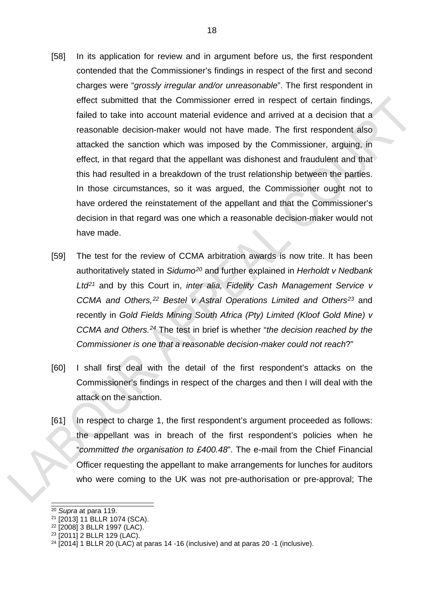- [58] In its application for review and in argument before us, the first respondent contended that the Commissioner's findings in respect of the first and second charges were "*grossly irregular and/or unreasonable*". The first respondent in effect submitted that the Commissioner erred in respect of certain findings, failed to take into account material evidence and arrived at a decision that a reasonable decision-maker would not have made. The first respondent also attacked the sanction which was imposed by the Commissioner, arguing, in effect, in that regard that the appellant was dishonest and fraudulent and that this had resulted in a breakdown of the trust relationship between the parties. In those circumstances, so it was argued, the Commissioner ought not to have ordered the reinstatement of the appellant and that the Commissioner's decision in that regard was one which a reasonable decision-maker would not have made.
- [59] The test for the review of CCMA arbitration awards is now trite. It has been authoritatively stated in *Sidumo[20](#page-17-0)* and further explained in *Herholdt v Nedbank Ltd[21](#page-17-1)* and by this Court in, *inter alia, Fidelity Cash Management Service v CCMA and Others,[22](#page-17-2) Bestel v Astral Operations Limited and Others[23](#page-17-3)* and recently in *Gold Fields Mining South Africa (Pty) Limited (Kloof Gold Mine) v CCMA and Others.[24](#page-17-4)* The test in brief is whether "*the decision reached by the Commissioner is one that a reasonable decision-maker could not reach*?"
- [60] I shall first deal with the detail of the first respondent's attacks on the Commissioner's findings in respect of the charges and then I will deal with the attack on the sanction.
- [61] In respect to charge 1, the first respondent's argument proceeded as follows: the appellant was in breach of the first respondent's policies when he "*committed the organisation to £400.48*". The e-mail from the Chief Financial Officer requesting the appellant to make arrangements for lunches for auditors who were coming to the UK was not pre-authorisation or pre-approval; The

<span id="page-17-0"></span> <sup>20</sup> *Supra* at para 119.

<span id="page-17-1"></span><sup>21</sup> [2013] 11 BLLR 1074 (SCA).

<span id="page-17-2"></span><sup>22</sup> [2008] 3 BLLR 1997 (LAC).

<span id="page-17-3"></span><sup>23</sup> [2011] 2 BLLR 129 (LAC).

<span id="page-17-4"></span> $24$  [2014] 1 BLLR 20 (LAC) at paras 14 -16 (inclusive) and at paras 20 -1 (inclusive).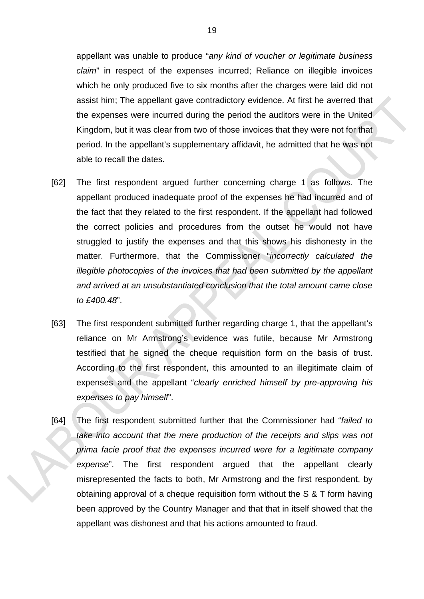appellant was unable to produce "*any kind of voucher or legitimate business claim*" in respect of the expenses incurred; Reliance on illegible invoices which he only produced five to six months after the charges were laid did not assist him; The appellant gave contradictory evidence. At first he averred that the expenses were incurred during the period the auditors were in the United Kingdom, but it was clear from two of those invoices that they were not for that period. In the appellant's supplementary affidavit, he admitted that he was not able to recall the dates.

- [62] The first respondent argued further concerning charge 1 as follows. The appellant produced inadequate proof of the expenses he had incurred and of the fact that they related to the first respondent. If the appellant had followed the correct policies and procedures from the outset he would not have struggled to justify the expenses and that this shows his dishonesty in the matter. Furthermore, that the Commissioner "*incorrectly calculated the illegible photocopies of the invoices that had been submitted by the appellant and arrived at an unsubstantiated conclusion that the total amount came close to £400.48*".
- [63] The first respondent submitted further regarding charge 1, that the appellant's reliance on Mr Armstrong's evidence was futile, because Mr Armstrong testified that he signed the cheque requisition form on the basis of trust. According to the first respondent, this amounted to an illegitimate claim of expenses and the appellant "*clearly enriched himself by pre-approving his expenses to pay himself*".
- [64] The first respondent submitted further that the Commissioner had "*failed to take into account that the mere production of the receipts and slips was not prima facie proof that the expenses incurred were for a legitimate company expense*". The first respondent argued that the appellant clearly misrepresented the facts to both, Mr Armstrong and the first respondent, by obtaining approval of a cheque requisition form without the S & T form having been approved by the Country Manager and that that in itself showed that the appellant was dishonest and that his actions amounted to fraud.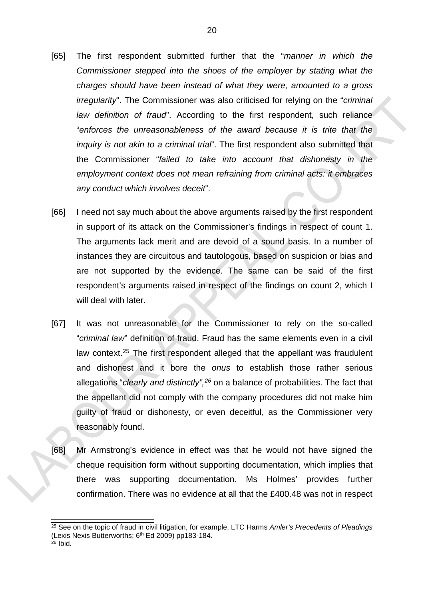- [65] The first respondent submitted further that the "*manner in which the Commissioner stepped into the shoes of the employer by stating what the charges should have been instead of what they were, amounted to a gross irregularity*". The Commissioner was also criticised for relying on the "*criminal law definition of fraud*". According to the first respondent, such reliance "*enforces the unreasonableness of the award because it is trite that the inquiry is not akin to a criminal trial*". The first respondent also submitted that the Commissioner "*failed to take into account that dishonesty in the employment context does not mean refraining from criminal acts: it embraces any conduct which involves deceit*".
- [66] I need not say much about the above arguments raised by the first respondent in support of its attack on the Commissioner's findings in respect of count 1. The arguments lack merit and are devoid of a sound basis. In a number of instances they are circuitous and tautologous, based on suspicion or bias and are not supported by the evidence. The same can be said of the first respondent's arguments raised in respect of the findings on count 2, which I will deal with later.
- [67] It was not unreasonable for the Commissioner to rely on the so-called "*criminal law*" definition of fraud. Fraud has the same elements even in a civil law context.<sup>[25](#page-19-0)</sup> The first respondent alleged that the appellant was fraudulent and dishonest and it bore the *onus* to establish those rather serious allegations "*clearly and distinctly",[26](#page-19-1)* on a balance of probabilities. The fact that the appellant did not comply with the company procedures did not make him guilty of fraud or dishonesty, or even deceitful, as the Commissioner very reasonably found.
- [68] Mr Armstrong's evidence in effect was that he would not have signed the cheque requisition form without supporting documentation, which implies that there was supporting documentation. Ms Holmes' provides further confirmation. There was no evidence at all that the £400.48 was not in respect

<span id="page-19-1"></span><span id="page-19-0"></span> <sup>25</sup> See on the topic of fraud in civil litigation, for example, LTC Harms *Amler's Precedents of Pleadings* (Lexis Nexis Butterworths; 6<sup>th</sup> Ed 2009) pp183-184.  $26$  Ibid.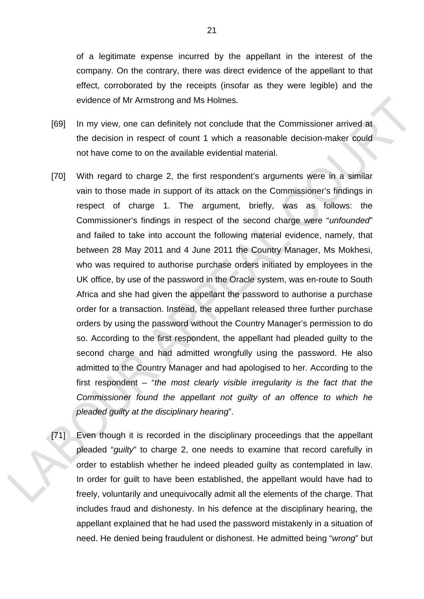of a legitimate expense incurred by the appellant in the interest of the company. On the contrary, there was direct evidence of the appellant to that effect, corroborated by the receipts (insofar as they were legible) and the evidence of Mr Armstrong and Ms Holmes.

- [69] In my view, one can definitely not conclude that the Commissioner arrived at the decision in respect of count 1 which a reasonable decision-maker could not have come to on the available evidential material.
- [70] With regard to charge 2, the first respondent's arguments were in a similar vain to those made in support of its attack on the Commissioner's findings in respect of charge 1. The argument, briefly, was as follows: the Commissioner's findings in respect of the second charge were "*unfounded*" and failed to take into account the following material evidence, namely, that between 28 May 2011 and 4 June 2011 the Country Manager, Ms Mokhesi, who was required to authorise purchase orders initiated by employees in the UK office, by use of the password in the Oracle system, was en-route to South Africa and she had given the appellant the password to authorise a purchase order for a transaction. Instead, the appellant released three further purchase orders by using the password without the Country Manager's permission to do so. According to the first respondent, the appellant had pleaded guilty to the second charge and had admitted wrongfully using the password. He also admitted to the Country Manager and had apologised to her. According to the first respondent – "*the most clearly visible irregularity is the fact that the Commissioner found the appellant not guilty of an offence to which he pleaded guilty at the disciplinary hearing*".
- [71] Even though it is recorded in the disciplinary proceedings that the appellant pleaded "*guilty*" to charge 2, one needs to examine that record carefully in order to establish whether he indeed pleaded guilty as contemplated in law. In order for guilt to have been established, the appellant would have had to freely, voluntarily and unequivocally admit all the elements of the charge. That includes fraud and dishonesty. In his defence at the disciplinary hearing, the appellant explained that he had used the password mistakenly in a situation of need. He denied being fraudulent or dishonest. He admitted being "*wrong*" but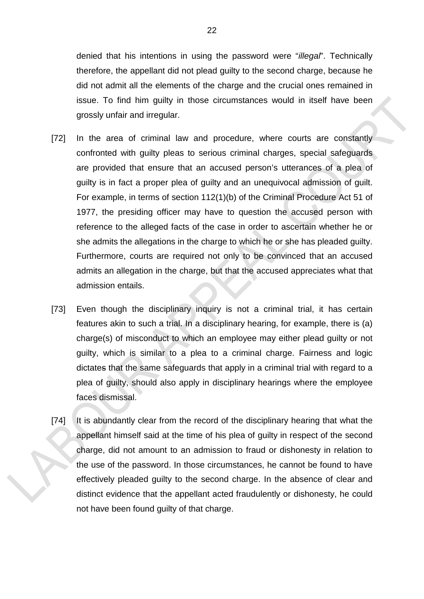denied that his intentions in using the password were "*illegal*". Technically therefore, the appellant did not plead guilty to the second charge, because he did not admit all the elements of the charge and the crucial ones remained in issue. To find him guilty in those circumstances would in itself have been grossly unfair and irregular.

- [72] In the area of criminal law and procedure, where courts are constantly confronted with guilty pleas to serious criminal charges, special safeguards are provided that ensure that an accused person's utterances of a plea of guilty is in fact a proper plea of guilty and an unequivocal admission of guilt. For example, in terms of section 112(1)(b) of the Criminal Procedure Act 51 of 1977, the presiding officer may have to question the accused person with reference to the alleged facts of the case in order to ascertain whether he or she admits the allegations in the charge to which he or she has pleaded guilty. Furthermore, courts are required not only to be convinced that an accused admits an allegation in the charge, but that the accused appreciates what that admission entails.
- [73] Even though the disciplinary inquiry is not a criminal trial, it has certain features akin to such a trial. In a disciplinary hearing, for example, there is (a) charge(s) of misconduct to which an employee may either plead guilty or not guilty, which is similar to a plea to a criminal charge. Fairness and logic dictates that the same safeguards that apply in a criminal trial with regard to a plea of guilty, should also apply in disciplinary hearings where the employee faces dismissal.
- [74] It is abundantly clear from the record of the disciplinary hearing that what the appellant himself said at the time of his plea of guilty in respect of the second charge, did not amount to an admission to fraud or dishonesty in relation to the use of the password. In those circumstances, he cannot be found to have effectively pleaded guilty to the second charge. In the absence of clear and distinct evidence that the appellant acted fraudulently or dishonesty, he could not have been found guilty of that charge.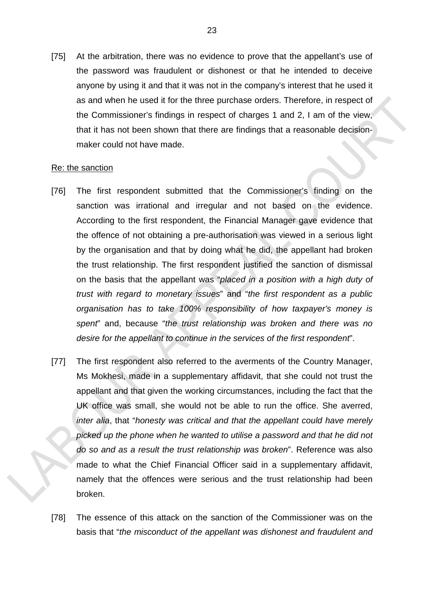[75] At the arbitration, there was no evidence to prove that the appellant's use of the password was fraudulent or dishonest or that he intended to deceive anyone by using it and that it was not in the company's interest that he used it as and when he used it for the three purchase orders. Therefore, in respect of the Commissioner's findings in respect of charges 1 and 2, I am of the view, that it has not been shown that there are findings that a reasonable decisionmaker could not have made.

### Re: the sanction

- [76] The first respondent submitted that the Commissioner's finding on the sanction was irrational and irregular and not based on the evidence. According to the first respondent, the Financial Manager gave evidence that the offence of not obtaining a pre-authorisation was viewed in a serious light by the organisation and that by doing what he did, the appellant had broken the trust relationship. The first respondent justified the sanction of dismissal on the basis that the appellant was "*placed in a position with a high duty of trust with regard to monetary issues*" and "*the first respondent as a public organisation has to take 100% responsibility of how taxpayer's money is spent*" and, because "*the trust relationship was broken and there was no desire for the appellant to continue in the services of the first respondent*".
- [77] The first respondent also referred to the averments of the Country Manager, Ms Mokhesi, made in a supplementary affidavit, that she could not trust the appellant and that given the working circumstances, including the fact that the UK office was small, she would not be able to run the office. She averred, *inter alia*, that "*honesty was critical and that the appellant could have merely picked up the phone when he wanted to utilise a password and that he did not do so and as a result the trust relationship was broken*". Reference was also made to what the Chief Financial Officer said in a supplementary affidavit, namely that the offences were serious and the trust relationship had been broken.
- [78] The essence of this attack on the sanction of the Commissioner was on the basis that "*the misconduct of the appellant was dishonest and fraudulent and*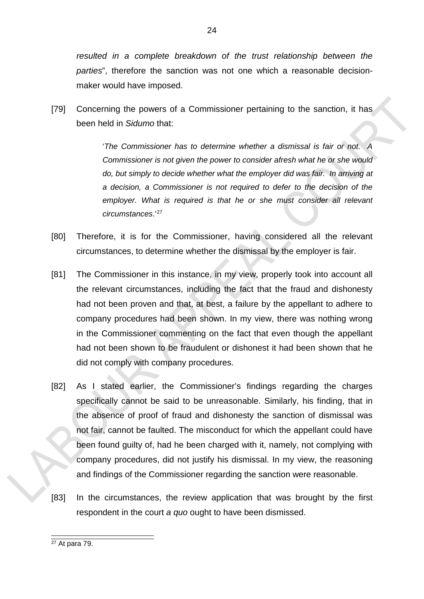resulted in a complete breakdown of the trust relationship between the *parties*", therefore the sanction was not one which a reasonable decisionmaker would have imposed.

[79] Concerning the powers of a Commissioner pertaining to the sanction, it has been held in *Sidumo* that:

> '*The Commissioner has to determine whether a dismissal is fair or not. A Commissioner is not given the power to consider afresh what he or she would do, but simply to decide whether what the employer did was fair. In arriving at a decision, a Commissioner is not required to defer to the decision of the*  employer. What is required is that he or she must consider all relevant *circumstances*.' [27](#page-23-0)

- [80] Therefore, it is for the Commissioner, having considered all the relevant circumstances, to determine whether the dismissal by the employer is fair.
- [81] The Commissioner in this instance, in my view, properly took into account all the relevant circumstances, including the fact that the fraud and dishonesty had not been proven and that, at best, a failure by the appellant to adhere to company procedures had been shown. In my view, there was nothing wrong in the Commissioner commenting on the fact that even though the appellant had not been shown to be fraudulent or dishonest it had been shown that he did not comply with company procedures.
- [82] As I stated earlier, the Commissioner's findings regarding the charges specifically cannot be said to be unreasonable. Similarly, his finding, that in the absence of proof of fraud and dishonesty the sanction of dismissal was not fair, cannot be faulted. The misconduct for which the appellant could have been found guilty of, had he been charged with it, namely, not complying with company procedures, did not justify his dismissal. In my view, the reasoning and findings of the Commissioner regarding the sanction were reasonable.
- [83] In the circumstances, the review application that was brought by the first respondent in the court *a quo* ought to have been dismissed.

<span id="page-23-0"></span> $27$  At para 79.